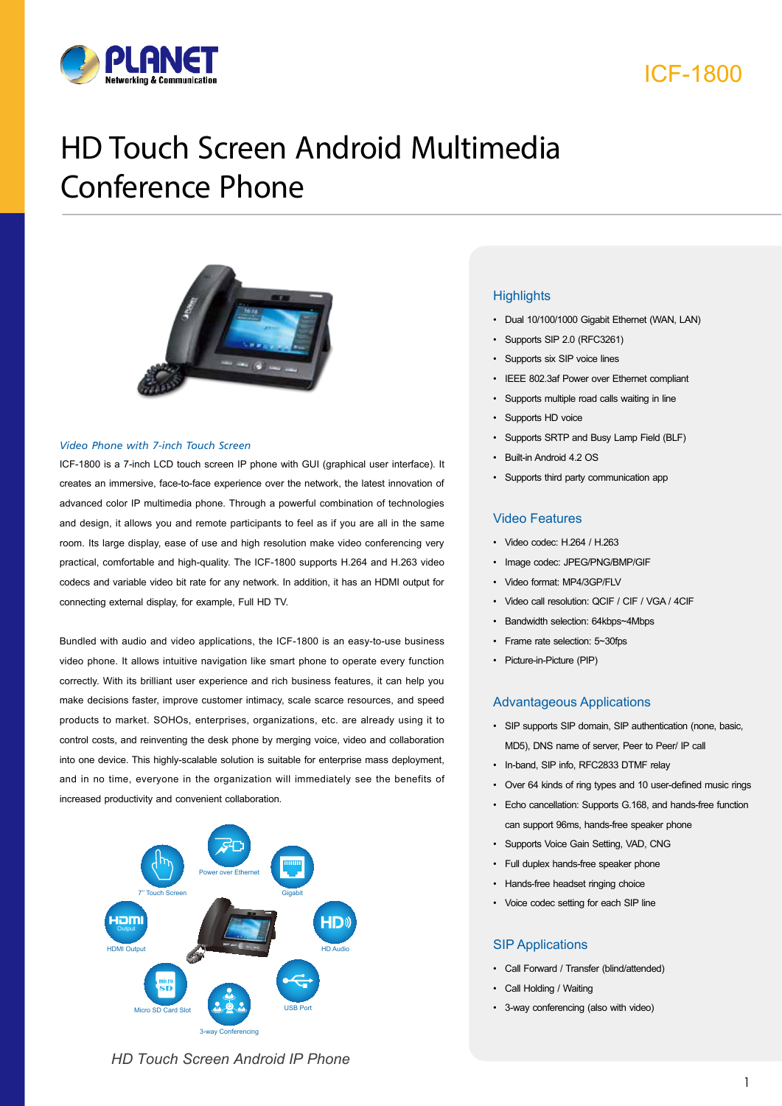



# HD Touch Screen Android Multimedia Conference Phone



#### *Video Phone with 7-inch Touch Screen*

ICF-1800 is a 7-inch LCD touch screen IP phone with GUI (graphical user interface). It creates an immersive, face-to-face experience over the network, the latest innovation of advanced color IP multimedia phone. Through a powerful combination of technologies and design, it allows you and remote participants to feel as if you are all in the same room. Its large display, ease of use and high resolution make video conferencing very practical, comfortable and high-quality. The ICF-1800 supports H.264 and H.263 video codecs and variable video bit rate for any network. In addition, it has an HDMI output for connecting external display, for example, Full HD TV.

Bundled with audio and video applications, the ICF-1800 is an easy-to-use business video phone. It allows intuitive navigation like smart phone to operate every function correctly. With its brilliant user experience and rich business features, it can help you make decisions faster, improve customer intimacy, scale scarce resources, and speed products to market. SOHOs, enterprises, organizations, etc. are already using it to control costs, and reinventing the desk phone by merging voice, video and collaboration into one device. This highly-scalable solution is suitable for enterprise mass deployment, and in no time, everyone in the organization will immediately see the benefits of increased productivity and convenient collaboration.



# **Highlights**

- • Dual 10/100/1000 Gigabit Ethernet (WAN, LAN)
- Supports SIP 2.0 (RFC3261)
- Supports six SIP voice lines
- • IEEE 802.3af Power over Ethernet compliant
- Supports multiple road calls waiting in line
- Supports HD voice
- • Supports SRTP and Busy Lamp Field (BLF)
- Built-in Android 4.2 OS
- • Supports third party communication app

### Video Features

- • Video codec: H.264 / H.263
- Image codec: JPEG/PNG/BMP/GIF
- • Video format: MP4/3GP/FLV
- Video call resolution: QCIF / CIF / VGA / 4CIF
- • Bandwidth selection: 64kbps~4Mbps
- Frame rate selection: 5~30fps
- Picture-in-Picture (PIP)

### Advantageous Applications

- • SIP supports SIP domain, SIP authentication (none, basic, MD5), DNS name of server, Peer to Peer/ IP call
- • In-band, SIP info, RFC2833 DTMF relay
- • Over 64 kinds of ring types and 10 user-defined music rings
- • Echo cancellation: Supports G.168, and hands-free function can support 96ms, hands-free speaker phone
- • Supports Voice Gain Setting, VAD, CNG
- • Full duplex hands-free speaker phone
- • Hands-free headset ringing choice
- • Voice codec setting for each SIP line

### SIP Applications

- • Call Forward / Transfer (blind/attended)
- Call Holding / Waiting
- • 3-way conferencing (also with video)

*HD Touch Screen Android IP Phone*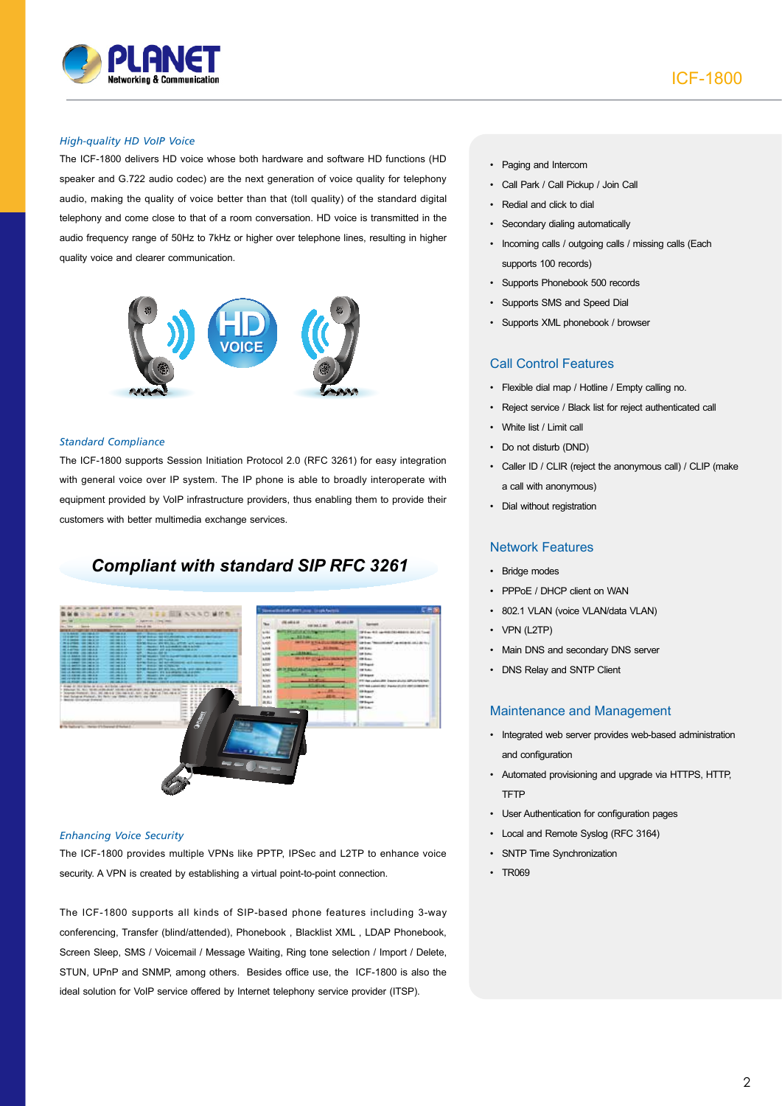

## *High-quality HD VoIP Voice*

The ICF-1800 delivers HD voice whose both hardware and software HD functions (HD speaker and G.722 audio codec) are the next generation of voice quality for telephony audio, making the quality of voice better than that (toll quality) of the standard digital telephony and come close to that of a room conversation. HD voice is transmitted in the audio frequency range of 50Hz to 7kHz or higher over telephone lines, resulting in higher quality voice and clearer communication.



#### *Standard Compliance*

The ICF-1800 supports Session Initiation Protocol 2.0 (RFC 3261) for easy integration with general voice over IP system. The IP phone is able to broadly interoperate with equipment provided by VoIP infrastructure providers, thus enabling them to provide their customers with better multimedia exchange services.

# *Compliant with standard SIP RFC 3261*



#### *Enhancing Voice Security*

The ICF-1800 provides multiple VPNs like PPTP, IPSec and L2TP to enhance voice security. A VPN is created by establishing a virtual point-to-point connection.

The ICF-1800 supports all kinds of SIP-based phone features including 3-way conferencing, Transfer (blind/attended), Phonebook , Blacklist XML , LDAP Phonebook, Screen Sleep, SMS / Voicemail / Message Waiting, Ring tone selection / Import / Delete, STUN, UPnP and SNMP, among others. Besides office use, the ICF-1800 is also the ideal solution for VoIP service offered by Internet telephony service provider (ITSP).

- • Paging and Intercom
- • Call Park / Call Pickup / Join Call
- • Redial and click to dial
- • Secondary dialing automatically
- • Incoming calls / outgoing calls / missing calls (Each supports 100 records)
- • Supports Phonebook 500 records
- • Supports SMS and Speed Dial
- Supports XML phonebook / browser

# Call Control Features

- • Flexible dial map / Hotline / Empty calling no.
- • Reject service / Black list for reject authenticated call
- White list / Limit call
- Do not disturb (DND)
- • Caller ID / CLIR (reject the anonymous call) / CLIP (make a call with anonymous)
- • Dial without registration

# Network Features

- • Bridge modes
- PPPoE / DHCP client on WAN
- 802.1 VLAN (voice VLAN/data VLAN)
- • VPN (L2TP)
- Main DNS and secondary DNS server
- DNS Relay and SNTP Client

## Maintenance and Management

- • Integrated web server provides web-based administration and configuration
- • Automated provisioning and upgrade via HTTPS, HTTP, **TFTP**
- • User Authentication for configuration pages
- • Local and Remote Syslog (RFC 3164)
- • SNTP Time Synchronization
- • TR069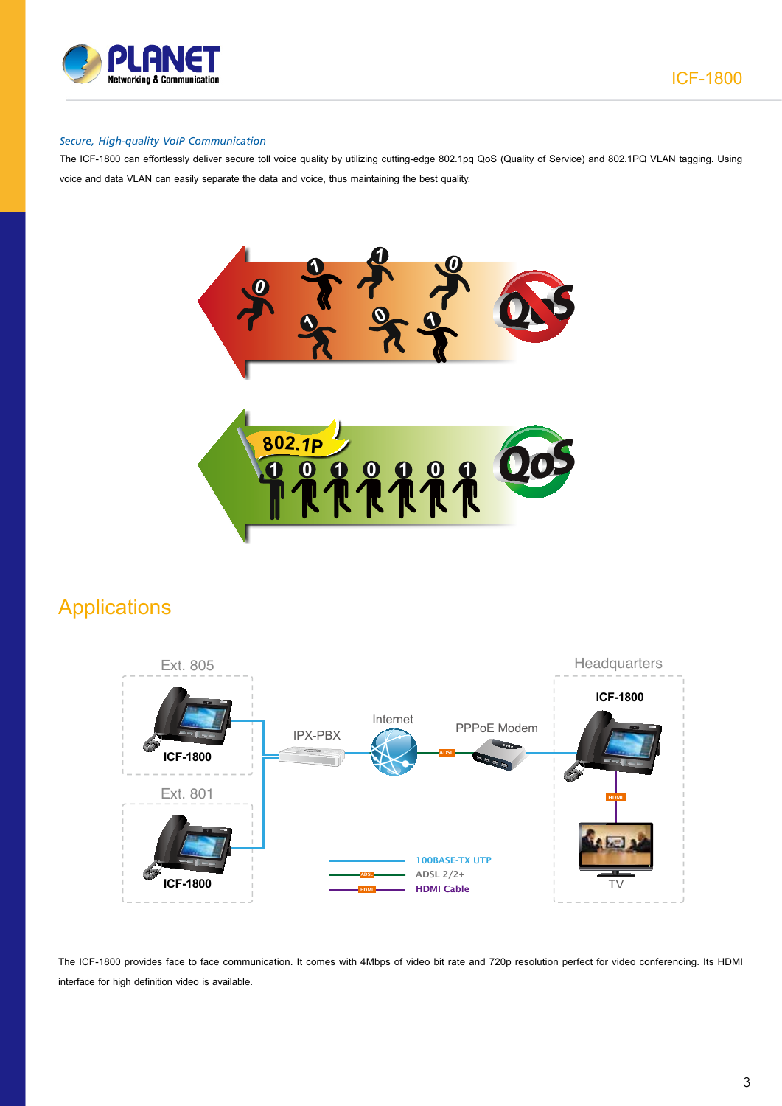

# *Secure, High-quality VoIP Communication*

The ICF-1800 can effortlessly deliver secure toll voice quality by utilizing cutting-edge 802.1pq QoS (Quality of Service) and 802.1PQ VLAN tagging. Using voice and data VLAN can easily separate the data and voice, thus maintaining the best quality.



# Applications



The ICF-1800 provides face to face communication. It comes with 4Mbps of video bit rate and 720p resolution perfect for video conferencing. Its HDMI interface for high definition video is available.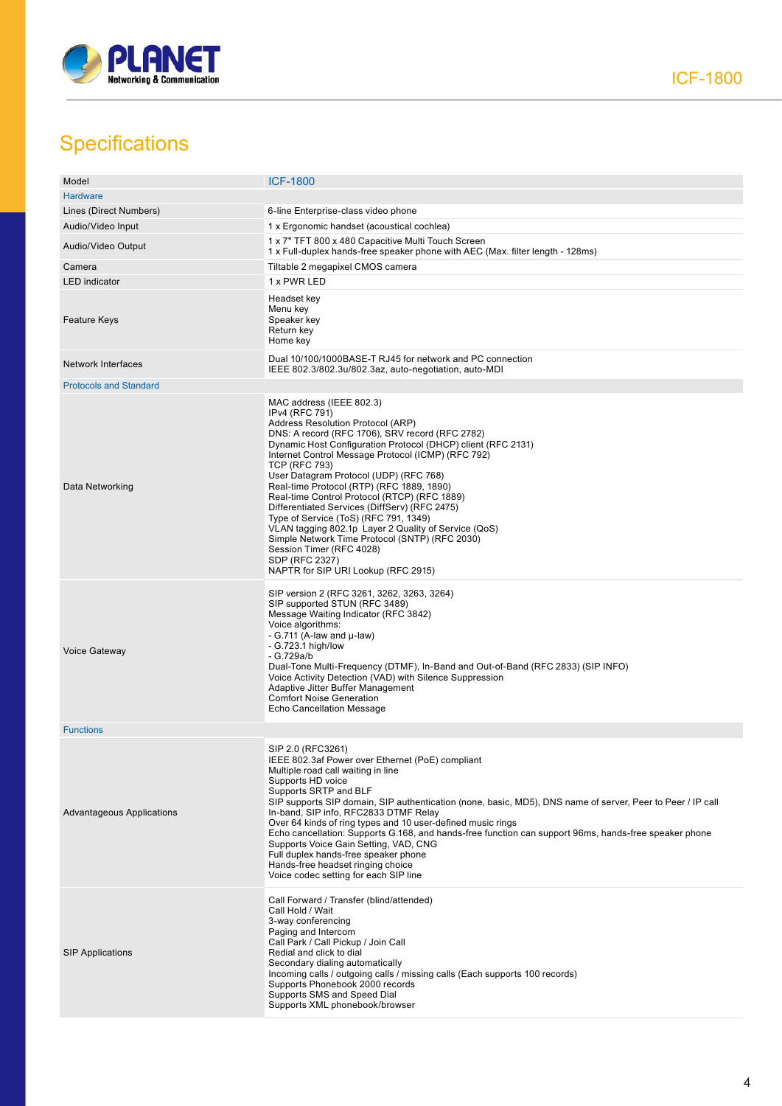

# **Specifications**

| Model                         | <b>ICF-1800</b>                                                                                                                                                                                                                                                                                                                                                                                                                                                                                                                                                                                                                                                                                                  |
|-------------------------------|------------------------------------------------------------------------------------------------------------------------------------------------------------------------------------------------------------------------------------------------------------------------------------------------------------------------------------------------------------------------------------------------------------------------------------------------------------------------------------------------------------------------------------------------------------------------------------------------------------------------------------------------------------------------------------------------------------------|
| <b>Hardware</b>               |                                                                                                                                                                                                                                                                                                                                                                                                                                                                                                                                                                                                                                                                                                                  |
| Lines (Direct Numbers)        | 6-line Enterprise-class video phone                                                                                                                                                                                                                                                                                                                                                                                                                                                                                                                                                                                                                                                                              |
| Audio/Video Input             | 1 x Ergonomic handset (acoustical cochlea)                                                                                                                                                                                                                                                                                                                                                                                                                                                                                                                                                                                                                                                                       |
| Audio/Video Output            | 1 x 7" TFT 800 x 480 Capacitive Multi Touch Screen<br>1 x Full-duplex hands-free speaker phone with AEC (Max. filter length - 128ms)                                                                                                                                                                                                                                                                                                                                                                                                                                                                                                                                                                             |
| Camera                        | Tiltable 2 megapixel CMOS camera                                                                                                                                                                                                                                                                                                                                                                                                                                                                                                                                                                                                                                                                                 |
| <b>LED</b> indicator          | 1 x PWR LED                                                                                                                                                                                                                                                                                                                                                                                                                                                                                                                                                                                                                                                                                                      |
| <b>Feature Keys</b>           | Headset key<br>Menu key<br>Speaker key<br>Return key<br>Home key                                                                                                                                                                                                                                                                                                                                                                                                                                                                                                                                                                                                                                                 |
| <b>Network Interfaces</b>     | Dual 10/100/1000BASE-T RJ45 for network and PC connection<br>IEEE 802.3/802.3u/802.3az, auto-negotiation, auto-MDI                                                                                                                                                                                                                                                                                                                                                                                                                                                                                                                                                                                               |
| <b>Protocols and Standard</b> |                                                                                                                                                                                                                                                                                                                                                                                                                                                                                                                                                                                                                                                                                                                  |
| Data Networking               | MAC address (IEEE 802.3)<br>IPv4 (RFC 791)<br>Address Resolution Protocol (ARP)<br>DNS: A record (RFC 1706), SRV record (RFC 2782)<br>Dynamic Host Configuration Protocol (DHCP) client (RFC 2131)<br>Internet Control Message Protocol (ICMP) (RFC 792)<br><b>TCP (RFC 793)</b><br>User Datagram Protocol (UDP) (RFC 768)<br>Real-time Protocol (RTP) (RFC 1889, 1890)<br>Real-time Control Protocol (RTCP) (RFC 1889)<br>Differentiated Services (DiffServ) (RFC 2475)<br>Type of Service (ToS) (RFC 791, 1349)<br>VLAN tagging 802.1p Layer 2 Quality of Service (QoS)<br>Simple Network Time Protocol (SNTP) (RFC 2030)<br>Session Timer (RFC 4028)<br>SDP (RFC 2327)<br>NAPTR for SIP URI Lookup (RFC 2915) |
| <b>Voice Gateway</b>          | SIP version 2 (RFC 3261, 3262, 3263, 3264)<br>SIP supported STUN (RFC 3489)<br>Message Waiting Indicator (RFC 3842)<br>Voice algorithms:<br>- G.711 (A-law and $\mu$ -law)<br>- G.723.1 high/low<br>$-G.729a/b$<br>Dual-Tone Multi-Frequency (DTMF), In-Band and Out-of-Band (RFC 2833) (SIP INFO)<br>Voice Activity Detection (VAD) with Silence Suppression<br>Adaptive Jitter Buffer Management<br><b>Comfort Noise Generation</b><br>Echo Cancellation Message                                                                                                                                                                                                                                               |
| <b>Functions</b>              |                                                                                                                                                                                                                                                                                                                                                                                                                                                                                                                                                                                                                                                                                                                  |
| Advantageous Applications     | SIP 2.0 (RFC3261)<br>IEEE 802.3af Power over Ethernet (PoE) compliant<br>Multiple road call waiting in line<br>Supports HD voice<br>Supports SRTP and BLF<br>SIP supports SIP domain, SIP authentication (none, basic, MD5), DNS name of server, Peer to Peer / IP call<br>In-band, SIP info, RFC2833 DTMF Relay<br>Over 64 kinds of ring types and 10 user-defined music rings<br>Echo cancellation: Supports G.168, and hands-free function can support 96ms, hands-free speaker phone<br>Supports Voice Gain Setting, VAD, CNG<br>Full duplex hands-free speaker phone<br>Hands-free headset ringing choice<br>Voice codec setting for each SIP line                                                          |
| <b>SIP Applications</b>       | Call Forward / Transfer (blind/attended)<br>Call Hold / Wait<br>3-way conferencing<br>Paging and Intercom<br>Call Park / Call Pickup / Join Call<br>Redial and click to dial<br>Secondary dialing automatically<br>Incoming calls / outgoing calls / missing calls (Each supports 100 records)<br>Supports Phonebook 2000 records<br>Supports SMS and Speed Dial<br>Supports XML phonebook/browser                                                                                                                                                                                                                                                                                                               |